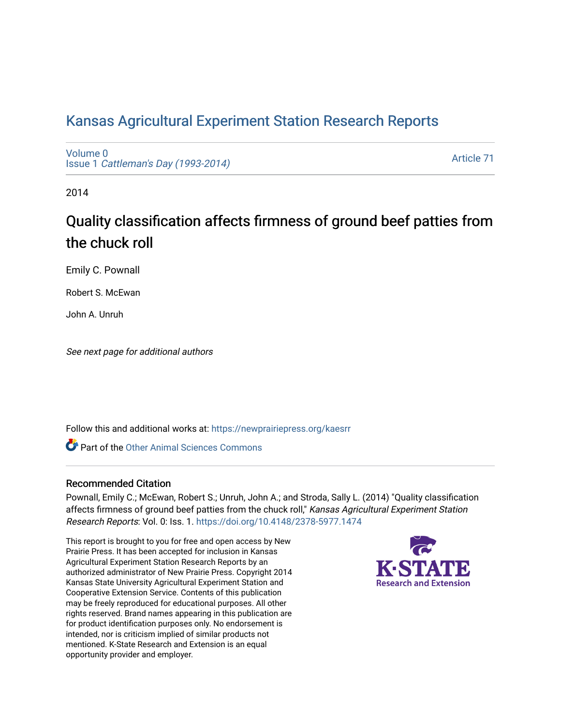# [Kansas Agricultural Experiment Station Research Reports](https://newprairiepress.org/kaesrr)

[Volume 0](https://newprairiepress.org/kaesrr/vol0) Issue 1 [Cattleman's Day \(1993-2014\)](https://newprairiepress.org/kaesrr/vol0/iss1) 

[Article 71](https://newprairiepress.org/kaesrr/vol0/iss1/71) 

2014

# Quality classification affects firmness of ground beef patties from the chuck roll

Emily C. Pownall

Robert S. McEwan

John A. Unruh

See next page for additional authors

Follow this and additional works at: [https://newprairiepress.org/kaesrr](https://newprairiepress.org/kaesrr?utm_source=newprairiepress.org%2Fkaesrr%2Fvol0%2Fiss1%2F71&utm_medium=PDF&utm_campaign=PDFCoverPages) 

**C** Part of the [Other Animal Sciences Commons](http://network.bepress.com/hgg/discipline/82?utm_source=newprairiepress.org%2Fkaesrr%2Fvol0%2Fiss1%2F71&utm_medium=PDF&utm_campaign=PDFCoverPages)

#### Recommended Citation

Pownall, Emily C.; McEwan, Robert S.; Unruh, John A.; and Stroda, Sally L. (2014) "Quality classification affects firmness of ground beef patties from the chuck roll," Kansas Agricultural Experiment Station Research Reports: Vol. 0: Iss. 1.<https://doi.org/10.4148/2378-5977.1474>

This report is brought to you for free and open access by New Prairie Press. It has been accepted for inclusion in Kansas Agricultural Experiment Station Research Reports by an authorized administrator of New Prairie Press. Copyright 2014 Kansas State University Agricultural Experiment Station and Cooperative Extension Service. Contents of this publication may be freely reproduced for educational purposes. All other rights reserved. Brand names appearing in this publication are for product identification purposes only. No endorsement is intended, nor is criticism implied of similar products not mentioned. K-State Research and Extension is an equal opportunity provider and employer.

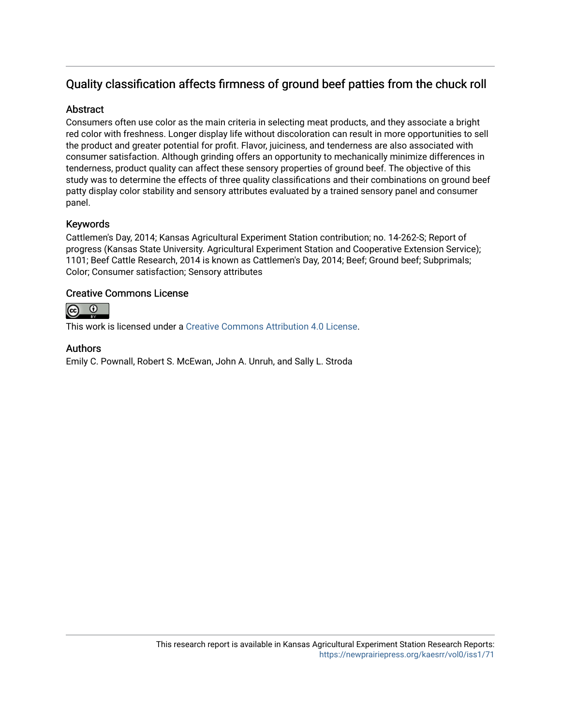## Quality classification affects firmness of ground beef patties from the chuck roll

### **Abstract**

Consumers often use color as the main criteria in selecting meat products, and they associate a bright red color with freshness. Longer display life without discoloration can result in more opportunities to sell the product and greater potential for profit. Flavor, juiciness, and tenderness are also associated with consumer satisfaction. Although grinding offers an opportunity to mechanically minimize differences in tenderness, product quality can affect these sensory properties of ground beef. The objective of this study was to determine the effects of three quality classifications and their combinations on ground beef patty display color stability and sensory attributes evaluated by a trained sensory panel and consumer panel.

### Keywords

Cattlemen's Day, 2014; Kansas Agricultural Experiment Station contribution; no. 14-262-S; Report of progress (Kansas State University. Agricultural Experiment Station and Cooperative Extension Service); 1101; Beef Cattle Research, 2014 is known as Cattlemen's Day, 2014; Beef; Ground beef; Subprimals; Color; Consumer satisfaction; Sensory attributes

#### Creative Commons License



This work is licensed under a [Creative Commons Attribution 4.0 License](https://creativecommons.org/licenses/by/4.0/).

#### Authors

Emily C. Pownall, Robert S. McEwan, John A. Unruh, and Sally L. Stroda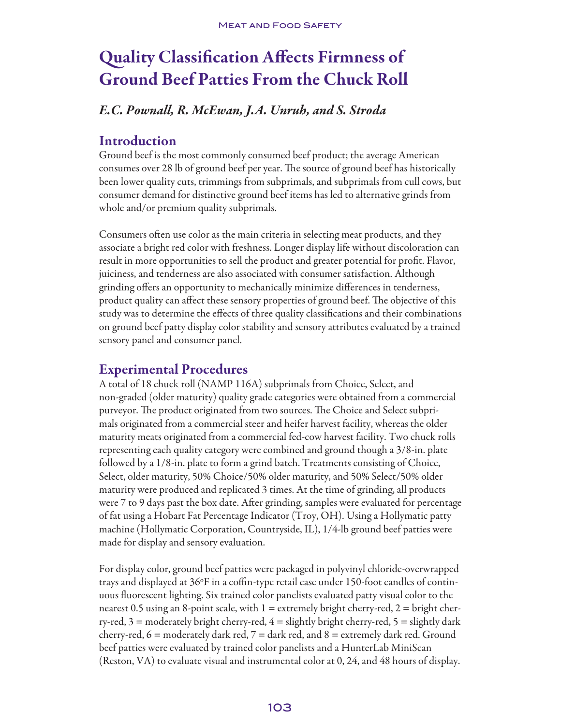# Quality Classification Affects Firmness of Ground Beef Patties From the Chuck Roll

## *E.C. Pownall, R. McEwan, J.A. Unruh, and S. Stroda*

## Introduction

Ground beef is the most commonly consumed beef product; the average American consumes over 28 lb of ground beef per year. The source of ground beef has historically been lower quality cuts, trimmings from subprimals, and subprimals from cull cows, but consumer demand for distinctive ground beef items has led to alternative grinds from whole and/or premium quality subprimals.

Consumers often use color as the main criteria in selecting meat products, and they associate a bright red color with freshness. Longer display life without discoloration can result in more opportunities to sell the product and greater potential for profit. Flavor, juiciness, and tenderness are also associated with consumer satisfaction. Although grinding offers an opportunity to mechanically minimize differences in tenderness, product quality can affect these sensory properties of ground beef. The objective of this study was to determine the effects of three quality classifications and their combinations on ground beef patty display color stability and sensory attributes evaluated by a trained sensory panel and consumer panel.

## Experimental Procedures

A total of 18 chuck roll (NAMP 116A) subprimals from Choice, Select, and non-graded (older maturity) quality grade categories were obtained from a commercial purveyor. The product originated from two sources. The Choice and Select subprimals originated from a commercial steer and heifer harvest facility, whereas the older maturity meats originated from a commercial fed-cow harvest facility. Two chuck rolls representing each quality category were combined and ground though a 3/8-in. plate followed by a 1/8-in. plate to form a grind batch. Treatments consisting of Choice, Select, older maturity, 50% Choice/50% older maturity, and 50% Select/50% older maturity were produced and replicated 3 times. At the time of grinding, all products were 7 to 9 days past the box date. After grinding, samples were evaluated for percentage of fat using a Hobart Fat Percentage Indicator (Troy, OH). Using a Hollymatic patty machine (Hollymatic Corporation, Countryside, IL), 1/4-lb ground beef patties were made for display and sensory evaluation.

For display color, ground beef patties were packaged in polyvinyl chloride-overwrapped trays and displayed at 36ºF in a coffin-type retail case under 150-foot candles of continuous fluorescent lighting. Six trained color panelists evaluated patty visual color to the nearest 0.5 using an 8-point scale, with  $1 =$  extremely bright cherry-red,  $2 =$  bright cherry-red,  $3$  = moderately bright cherry-red,  $4$  = slightly bright cherry-red,  $5$  = slightly dark cherry-red,  $6 =$  moderately dark red,  $7 =$  dark red, and  $8 =$  extremely dark red. Ground beef patties were evaluated by trained color panelists and a HunterLab MiniScan (Reston, VA) to evaluate visual and instrumental color at 0, 24, and 48 hours of display.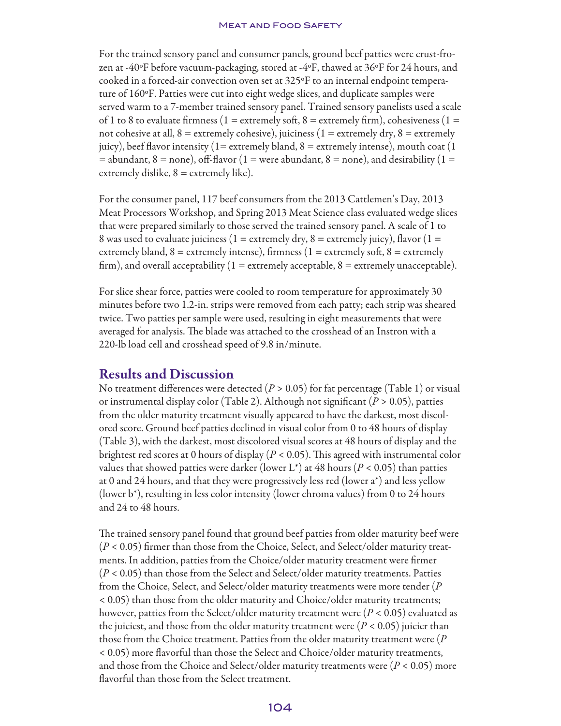#### **MEAT AND FOOD SAFETY**

For the trained sensory panel and consumer panels, ground beef patties were crust-frozen at -40ºF before vacuum-packaging, stored at -4ºF, thawed at 36ºF for 24 hours, and cooked in a forced-air convection oven set at 325ºF to an internal endpoint temperature of 160ºF. Patties were cut into eight wedge slices, and duplicate samples were served warm to a 7-member trained sensory panel. Trained sensory panelists used a scale of 1 to 8 to evaluate firmness (1 = extremely soft, 8 = extremely firm), cohesiveness (1 = not cohesive at all,  $8 =$  extremely cohesive), juiciness ( $1 =$  extremely dry,  $8 =$  extremely juicy), beef flavor intensity (1= extremely bland, 8 = extremely intense), mouth coat (1  $=$  abundant,  $8 =$  none), off-flavor (1 = were abundant, 8 = none), and desirability (1 = extremely dislike,  $8 =$  extremely like).

For the consumer panel, 117 beef consumers from the 2013 Cattlemen's Day, 2013 Meat Processors Workshop, and Spring 2013 Meat Science class evaluated wedge slices that were prepared similarly to those served the trained sensory panel. A scale of 1 to 8 was used to evaluate juiciness (1 = extremely dry, 8 = extremely juicy), flavor (1 = extremely bland,  $8 =$  extremely intense), firmness ( $1 =$  extremely soft,  $8 =$  extremely firm), and overall acceptability  $(1 =$  extremely acceptable,  $8 =$  extremely unacceptable).

For slice shear force, patties were cooled to room temperature for approximately 30 minutes before two 1.2-in. strips were removed from each patty; each strip was sheared twice. Two patties per sample were used, resulting in eight measurements that were averaged for analysis. The blade was attached to the crosshead of an Instron with a 220-lb load cell and crosshead speed of 9.8 in/minute.

## Results and Discussion

No treatment differences were detected  $(P > 0.05)$  for fat percentage (Table 1) or visual or instrumental display color (Table 2). Although not significant (*P* > 0.05), patties from the older maturity treatment visually appeared to have the darkest, most discolored score. Ground beef patties declined in visual color from 0 to 48 hours of display (Table 3), with the darkest, most discolored visual scores at 48 hours of display and the brightest red scores at 0 hours of display (*P* < 0.05). This agreed with instrumental color values that showed patties were darker (lower L<sup>\*</sup>) at 48 hours ( $P < 0.05$ ) than patties at 0 and 24 hours, and that they were progressively less red (lower a\*) and less yellow (lower b\*), resulting in less color intensity (lower chroma values) from 0 to 24 hours and 24 to 48 hours.

The trained sensory panel found that ground beef patties from older maturity beef were (*P* < 0.05) firmer than those from the Choice, Select, and Select/older maturity treatments. In addition, patties from the Choice/older maturity treatment were firmer (*P* < 0.05) than those from the Select and Select/older maturity treatments. Patties from the Choice, Select, and Select/older maturity treatments were more tender (*P*  < 0.05) than those from the older maturity and Choice/older maturity treatments; however, patties from the Select/older maturity treatment were (*P* < 0.05) evaluated as the juiciest, and those from the older maturity treatment were  $(P < 0.05)$  juicier than those from the Choice treatment. Patties from the older maturity treatment were (*P*  < 0.05) more flavorful than those the Select and Choice/older maturity treatments, and those from the Choice and Select/older maturity treatments were (*P* < 0.05) more flavorful than those from the Select treatment.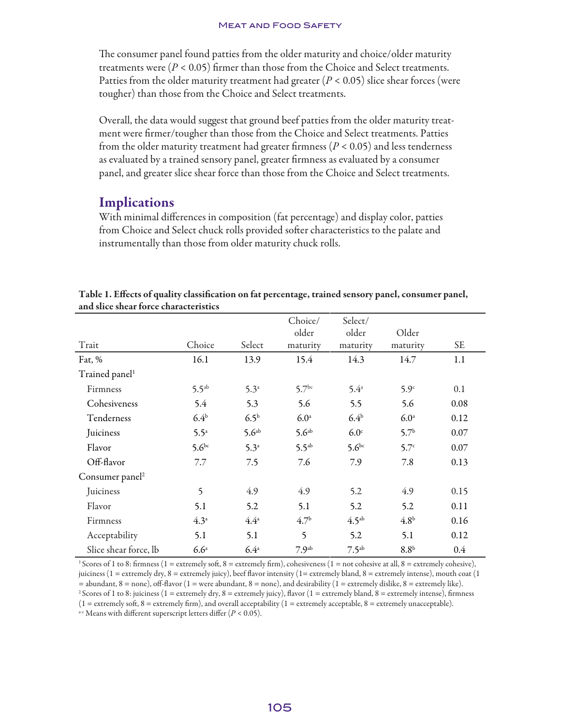The consumer panel found patties from the older maturity and choice/older maturity treatments were  $(P < 0.05)$  firmer than those from the Choice and Select treatments. Patties from the older maturity treatment had greater  $(P < 0.05)$  slice shear forces (were tougher) than those from the Choice and Select treatments.

Overall, the data would suggest that ground beef patties from the older maturity treatment were firmer/tougher than those from the Choice and Select treatments. Patties from the older maturity treatment had greater firmness (*P* < 0.05) and less tenderness as evaluated by a trained sensory panel, greater firmness as evaluated by a consumer panel, and greater slice shear force than those from the Choice and Select treatments.

## Implications

With minimal differences in composition (fat percentage) and display color, patties from Choice and Select chuck rolls provided softer characteristics to the palate and instrumentally than those from older maturity chuck rolls.

| and siled sileal force enaracteristics |                  |                   |                              |                              |                   |         |
|----------------------------------------|------------------|-------------------|------------------------------|------------------------------|-------------------|---------|
| Trait                                  | Choice           | Select            | Choice/<br>older<br>maturity | Select/<br>older<br>maturity | Older<br>maturity | SE.     |
|                                        |                  |                   |                              |                              |                   |         |
| Fat, %                                 | 16.1             | 13.9              | 15.4                         | 14.3                         | 14.7              | 1.1     |
| Trained panel <sup>1</sup>             |                  |                   |                              |                              |                   |         |
| Firmness                               | $5.5^{ab}$       | 5.3 <sup>a</sup>  | 5.7 <sup>bc</sup>            | 5.4 <sup>a</sup>             | 5.9 <sup>c</sup>  | 0.1     |
| Cohesiveness                           | 5.4              | 5.3               | 5.6                          | 5.5                          | 5.6               | 0.08    |
| Tenderness                             | 6.4 <sup>b</sup> | 6.5 <sup>b</sup>  | 6.0 <sup>a</sup>             | 6.4 <sup>b</sup>             | 6.0 <sup>a</sup>  | 0.12    |
| Juiciness                              | $5.5^{\circ}$    | 5.6 <sup>ab</sup> | 5.6 <sup>ab</sup>            | 6.0 <sup>c</sup>             | $5.7^{\rm b}$     | 0.07    |
| Flavor                                 | $5.6^{bc}$       | 5.3 <sup>a</sup>  | $5.5^{ab}$                   | $5.6^{bc}$                   | 5.7 <sup>c</sup>  | 0.07    |
| Off-flavor                             | 7.7              | 7.5               | 7.6                          | 7.9                          | 7.8               | 0.13    |
| Consumer panel <sup>2</sup>            |                  |                   |                              |                              |                   |         |
| Juiciness                              | 5                | 4.9               | 4.9                          | 5.2                          | 4.9               | 0.15    |
| Flavor                                 | 5.1              | 5.2               | 5.1                          | 5.2                          | 5.2               | 0.11    |
| Firmness                               | 4.3 <sup>a</sup> | $4.4^{\circ}$     | 4.7 <sup>b</sup>             | 4.5 <sup>ab</sup>            | 4.8 <sup>b</sup>  | 0.16    |
| Acceptability                          | 5.1              | 5.1               | $\overline{\phantom{0}}$     | 5.2                          | 5.1               | 0.12    |
| Slice shear force, lb                  | 6.6 <sup>a</sup> | 6.4 <sup>a</sup>  | 7.9 <sup>ab</sup>            | 7.5 <sup>ab</sup>            | 8.8 <sup>b</sup>  | $0.4\,$ |

#### Table 1. Effects of quality classification on fat percentage, trained sensory panel, consumer panel, and slice shear force characteristics

<sup>1</sup> Scores of 1 to 8: firmness (1 = extremely soft, 8 = extremely firm), cohesiveness (1 = not cohesive at all, 8 = extremely cohesive), juiciness ( $1 =$  extremely dry,  $8 =$  extremely juicy), beef flavor intensity ( $1 =$  extremely bland,  $8 =$  extremely intense), mouth coat ( $1$  $=$  abundant,  $8$  = none), off-flavor (1 = were abundant,  $8$  = none), and desirability (1 = extremely dislike,  $8$  = extremely like). <sup>2</sup> Scores of 1 to 8: juiciness (1 = extremely dry, 8 = extremely juicy), flavor (1 = extremely bland, 8 = extremely intense), firmness

 $(1 =$  extremely soft,  $8 =$  extremely firm), and overall acceptability  $(1 =$  extremely acceptable,  $8 =$  extremely unacceptable).

a-c Means with different superscript letters differ (*P* < 0.05).